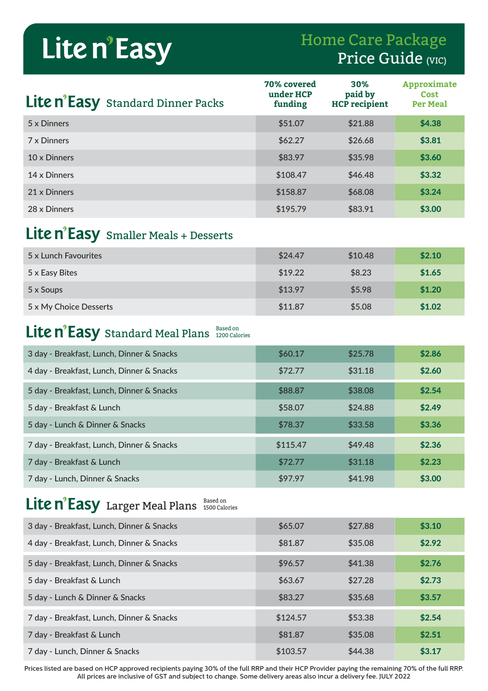# Lite n'Easy

## Home Care Package Price Guide (VIC)

| Lite n'Easy Standard Dinner Packs | 70% covered<br>under HCP<br>funding | <b>30%</b><br>paid by<br><b>HCP</b> recipient | Approximate<br><b>Cost</b><br><b>Per Meal</b> |
|-----------------------------------|-------------------------------------|-----------------------------------------------|-----------------------------------------------|
| 5 x Dinners                       | \$51.07                             | \$21.88                                       | \$4.38                                        |
| 7 x Dinners                       | \$62.27                             | \$26.68                                       | \$3.81                                        |
| 10 x Dinners                      | \$83.97                             | \$35.98                                       | \$3.60                                        |
| 14 x Dinners                      | \$108.47                            | \$46.48                                       | \$3.32                                        |
| 21 x Dinners                      | \$158.87                            | \$68.08                                       | \$3.24                                        |
| 28 x Dinners                      | \$195.79                            | \$83.91                                       | \$3.00                                        |

### Lite n'Easy Smaller Meals + Desserts

| 5 x Lunch Favourites   | \$24.47 | \$10.48 | \$2.10 |
|------------------------|---------|---------|--------|
| 5 x Easy Bites         | \$19.22 | \$8.23  | \$1.65 |
| 5 x Soups              | \$13.97 | \$5.98  | \$1.20 |
| 5 x My Choice Desserts | \$11.87 | \$5.08  | \$1.02 |

#### Standard Meal Plans Based on 1200 Calories

| 3 day - Breakfast, Lunch, Dinner & Snacks | \$60.17  | \$25.78 | \$2.86 |
|-------------------------------------------|----------|---------|--------|
| 4 day - Breakfast, Lunch, Dinner & Snacks | \$72.77  | \$31.18 | \$2.60 |
| 5 day - Breakfast, Lunch, Dinner & Snacks | \$88.87  | \$38.08 | \$2.54 |
| 5 day - Breakfast & Lunch                 | \$58.07  | \$24.88 | \$2.49 |
| 5 day - Lunch & Dinner & Snacks           | \$78.37  | \$33.58 | \$3.36 |
| 7 day - Breakfast, Lunch, Dinner & Snacks | \$115.47 | \$49.48 | \$2.36 |
| 7 day - Breakfast & Lunch                 | \$72.77  | \$31.18 | \$2.23 |
| 7 day - Lunch, Dinner & Snacks            | \$97.97  | \$41.98 | \$3.00 |

#### Larger Meal Plans **Based on** 1500 Calories

| 3 day - Breakfast, Lunch, Dinner & Snacks | \$65.07  | \$27.88 | \$3.10 |
|-------------------------------------------|----------|---------|--------|
| 4 day - Breakfast, Lunch, Dinner & Snacks | \$81.87  | \$35.08 | \$2.92 |
| 5 day - Breakfast, Lunch, Dinner & Snacks | \$96.57  | \$41.38 | \$2.76 |
| 5 day - Breakfast & Lunch                 | \$63.67  | \$27.28 | \$2.73 |
| 5 day - Lunch & Dinner & Snacks           | \$83.27  | \$35.68 | \$3.57 |
| 7 day - Breakfast, Lunch, Dinner & Snacks | \$124.57 | \$53.38 | \$2.54 |
| 7 day - Breakfast & Lunch                 | \$81.87  | \$35.08 | \$2.51 |
| 7 day - Lunch, Dinner & Snacks            | \$103.57 | \$44.38 | \$3.17 |

Prices listed are based on HCP approved recipients paying 30% of the full RRP and their HCP Provider paying the remaining 70% of the full RRP. All prices are inclusive of GST and subject to change. Some delivery areas also incur a delivery fee. JULY 2022